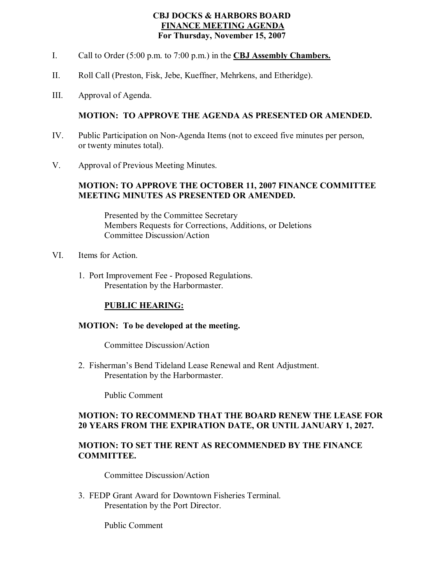### **CBJ DOCKS & HARBORS BOARD FINANCE MEETING AGENDA For Thursday, November 15, 2007**

- I. Call to Order (5:00 p.m. to 7:00 p.m.) in the **CBJ Assembly Chambers.**
- II. Roll Call (Preston, Fisk, Jebe, Kueffner, Mehrkens, and Etheridge).
- III. Approval of Agenda.

#### **MOTION: TO APPROVE THE AGENDA AS PRESENTED OR AMENDED.**

- IV. Public Participation on Non-Agenda Items (not to exceed five minutes per person, or twenty minutes total).
- V. Approval of Previous Meeting Minutes.

#### **MOTION: TO APPROVE THE OCTOBER 11, 2007 FINANCE COMMITTEE MEETING MINUTES AS PRESENTED OR AMENDED.**

Presented by the Committee Secretary Members Requests for Corrections, Additions, or Deletions Committee Discussion/Action

- VI. Items for Action.
	- 1. Port Improvement Fee Proposed Regulations. Presentation by the Harbormaster.

# **PUBLIC HEARING:**

#### **MOTION: To be developed at the meeting.**

Committee Discussion/Action

2. Fisherman's Bend Tideland Lease Renewal and Rent Adjustment. Presentation by the Harbormaster.

Public Comment

#### **MOTION: TO RECOMMEND THAT THE BOARD RENEW THE LEASE FOR 20 YEARS FROM THE EXPIRATION DATE, OR UNTIL JANUARY 1, 2027.**

#### **MOTION: TO SET THE RENT AS RECOMMENDED BY THE FINANCE COMMITTEE.**

Committee Discussion/Action

3. FEDP Grant Award for Downtown Fisheries Terminal. Presentation by the Port Director.

Public Comment